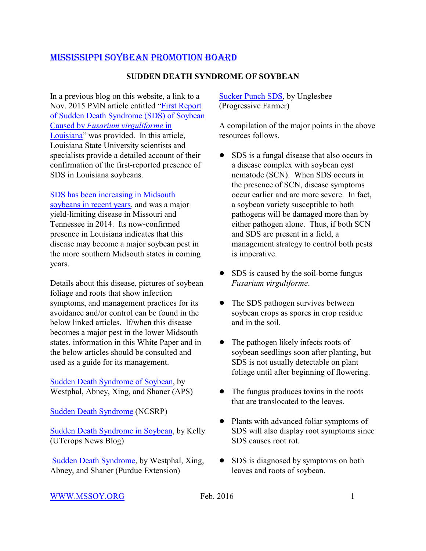### **SUDDEN DEATH SYNDROME OF SOYBEAN**

In a previous blog on this website, a link to a Nov. 2015 PMN article entitled ["First Report](https://www.plantmanagementnetwork.org/sub/php/volume16/number4/PHP-BR-15-0031.pdf) [of Sudden Death Syndrome \(SDS\) of Soybean](https://www.plantmanagementnetwork.org/sub/php/volume16/number4/PHP-BR-15-0031.pdf) Caused by *[Fusarium virguliforme](https://www.plantmanagementnetwork.org/sub/php/volume16/number4/PHP-BR-15-0031.pdf)* in [Louisiana](https://www.plantmanagementnetwork.org/sub/php/volume16/number4/PHP-BR-15-0031.pdf)" was provided. In this article, Louisiana State University scientists and specialists provide a detailed account of their confirmation of the first-reported presence of SDS in Louisiana soybeans.

#### [SDS has been increasing in Midsouth](http://mssoy.org/blog/soybean-yield-loss-to-diseases-in-the-midsouthern-us-2/)

[soybeans in recent years](http://mssoy.org/blog/soybean-yield-loss-to-diseases-in-the-midsouthern-us-2/), and was a major yield-limiting disease in Missouri and Tennessee in 2014. Its now-confirmed presence in Louisiana indicates that this disease may become a major soybean pest in the more southern Midsouth states in coming years.

Details about this disease, pictures of soybean foliage and roots that show infection symptoms, and management practices for its avoidance and/or control can be found in the below linked articles. If/when this disease becomes a major pest in the lower Midsouth states, information in this White Paper and in the below articles should be consulted and used as a guide for its management.

[Sudden Death Syndrome of Soybean](http://www.apsnet.org/edcenter/intropp/lessons/fungi/ascomycetes/Pages/SuddenDeath.aspx), by Westphal, Abney, Xing, and Shaner (APS)

[Sudden Death Syndrome](http://www.soybeanresearchinfo.com/diseases/suddendeathsyndrome.html) (NCSRP)

[Sudden Death Syndrome in Soybean](http://news.utcrops.com/2014/07/sudden-death-syndrome-sds-in-soybean/), by Kelly (UTcrops News Blog)

[Sudden Death Syndrome](https://www.extension.purdue.edu/extmedia/BP/BP-58-W.pdf), by Westphal, Xing, Abney, and Shaner (Purdue Extension)

[Sucker Punch SDS](http://dtnpf-digital.com/publication/?i=287383&p=18), by Unglesbee (Progressive Farmer)

A compilation of the major points in the above resources follows.

- SDS is a fungal disease that also occurs in a disease complex with soybean cyst nematode (SCN). When SDS occurs in the presence of SCN, disease symptoms occur earlier and are more severe. In fact, a soybean variety susceptible to both pathogens will be damaged more than by either pathogen alone. Thus, if both SCN and SDS are present in a field, a management strategy to control both pests is imperative.
- SDS is caused by the soil-borne fungus *Fusarium virguliforme*.
- The SDS pathogen survives between soybean crops as spores in crop residue and in the soil.
- The pathogen likely infects roots of soybean seedlings soon after planting, but SDS is not usually detectable on plant foliage until after beginning of flowering.
- The fungus produces toxins in the roots that are translocated to the leaves.
- ! Plants with advanced foliar symptoms of SDS will also display root symptoms since SDS causes root rot.
- ! SDS is diagnosed by symptoms on both leaves and roots of soybean.

#### [WWW.MSSOY.ORG](http://WWW.MSSOY.ORG) Feb. 2016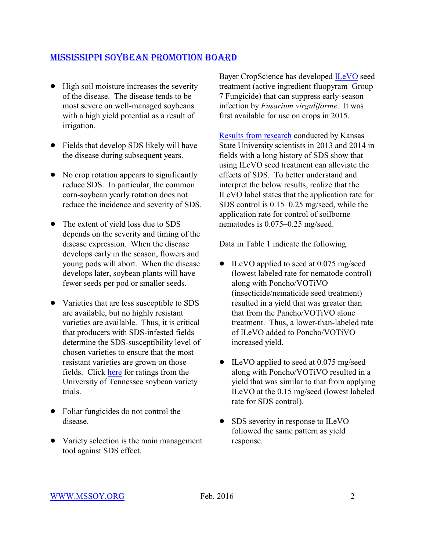- High soil moisture increases the severity of the disease. The disease tends to be most severe on well-managed soybeans with a high yield potential as a result of irrigation.
- Fields that develop SDS likely will have the disease during subsequent years.
- No crop rotation appears to significantly reduce SDS. In particular, the common corn-soybean yearly rotation does not reduce the incidence and severity of SDS.
- The extent of yield loss due to SDS depends on the severity and timing of the disease expression. When the disease develops early in the season, flowers and young pods will abort. When the disease develops later, soybean plants will have fewer seeds per pod or smaller seeds.
- Varieties that are less susceptible to SDS are available, but no highly resistant varieties are available. Thus, it is critical that producers with SDS-infested fields determine the SDS-susceptibility level of chosen varieties to ensure that the most resistant varieties are grown on those fields. Click [here](http://www.utcrops.com/soybean/soybean_images/2015%20TN%20Soybean%20Variety%20Test%20Report%20-%20FOR%20WEB.pdf) for ratings from the University of Tennessee soybean variety trials.
- Foliar fungicides do not control the disease.
- Variety selection is the main management tool against SDS effect.

Bayer CropScience has developed [ILeVO](http://www.cdms.net/ldat/ldC48000.pdf) seed treatment (active ingredient fluopyram–Group 7 Fungicide) that can suppress early-season infection by *Fusarium virguliforme*. It was first available for use on crops in 2015.

[Results from research](https://webapp.agron.ksu.edu/agr_social/eu_article.throck?article_id=529) conducted by Kansas State University scientists in 2013 and 2014 in fields with a long history of SDS show that using ILeVO seed treatment can alleviate the effects of SDS. To better understand and interpret the below results, realize that the ILeVO label states that the application rate for SDS control is 0.15–0.25 mg/seed, while the application rate for control of soilborne nematodes is 0.075–0.25 mg/seed.

Data in Table 1 indicate the following.

- ILeVO applied to seed at 0.075 mg/seed (lowest labeled rate for nematode control) along with Poncho/VOTiVO (insecticide/nematicide seed treatment) resulted in a yield that was greater than that from the Pancho/VOTiVO alone treatment. Thus, a lower-than-labeled rate of ILeVO added to Poncho/VOTiVO increased yield.
- ILeVO applied to seed at 0.075 mg/seed along with Poncho/VOTiVO resulted in a yield that was similar to that from applying ILeVO at the 0.15 mg/seed (lowest labeled rate for SDS control).
- ! SDS severity in response to ILeVO followed the same pattern as yield response.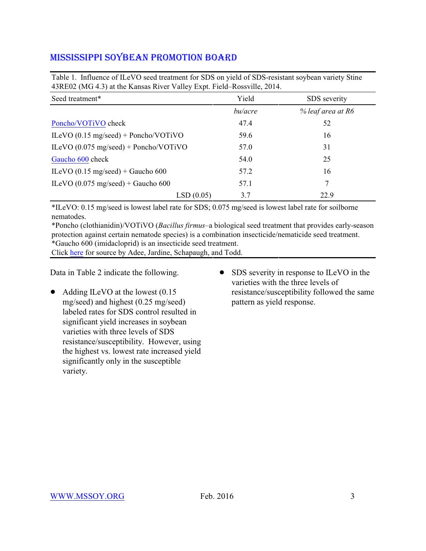| Twore it immedies of the $\epsilon$ of seed deduction for SDS on field of SDS resistant so focult (arrest) Stine<br>43RE02 (MG 4.3) at the Kansas River Valley Expt. Field–Rossville, 2014. |         |                   |  |  |  |  |
|---------------------------------------------------------------------------------------------------------------------------------------------------------------------------------------------|---------|-------------------|--|--|--|--|
| Seed treatment*                                                                                                                                                                             | Yield   | SDS severity      |  |  |  |  |
|                                                                                                                                                                                             | bu/acre | % leaf area at R6 |  |  |  |  |
| Poncho/VOTiVO check                                                                                                                                                                         | 47.4    | 52                |  |  |  |  |
| ILeVO $(0.15 \text{ mg/seed})$ + Poncho/VOTiVO                                                                                                                                              | 59.6    | 16                |  |  |  |  |
| ILeVO $(0.075 \text{ mg/seed})$ + Poncho/VOTiVO                                                                                                                                             | 57.0    | 31                |  |  |  |  |
| Gaucho 600 check                                                                                                                                                                            | 54.0    | 25                |  |  |  |  |
| ILeVO $(0.15 \text{ mg/seed})$ + Gaucho 600                                                                                                                                                 | 57.2    | 16                |  |  |  |  |
| ILeVO $(0.075 \text{ mg/seed})$ + Gaucho 600                                                                                                                                                | 57.1    | 7                 |  |  |  |  |
| LSD(0.05)                                                                                                                                                                                   | 3.7     | 22.9              |  |  |  |  |

Table 1. Influence of ILeVO seed treatment for SDS on yield of SDS-resistant soybean variety Stine

\*ILeVO: 0.15 mg/seed is lowest label rate for SDS; 0.075 mg/seed is lowest label rate for soilborne nematodes.

\*Poncho (clothianidin)/VOTiVO (*Bacillus firmus*–a biological seed treatment that provides early-season protection against certain nematode species) is a combination insecticide/nematicide seed treatment. \*Gaucho 600 (imidacloprid) is an insecticide seed treatment.

Click [here](https://webapp.agron.ksu.edu/agr_social/eu_article.throck?article_id=529) for source by Adee, Jardine, Schapaugh, and Todd.

Data in Table 2 indicate the following.

- $\bullet$  Adding ILeVO at the lowest (0.15 mg/seed) and highest (0.25 mg/seed) labeled rates for SDS control resulted in significant yield increases in soybean varieties with three levels of SDS resistance/susceptibility. However, using the highest vs. lowest rate increased yield significantly only in the susceptible variety.
- SDS severity in response to ILeVO in the varieties with the three levels of resistance/susceptibility followed the same pattern as yield response.